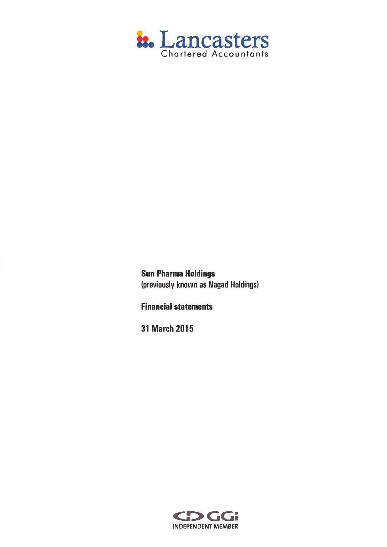

**Financial statements** 

31 March 2015

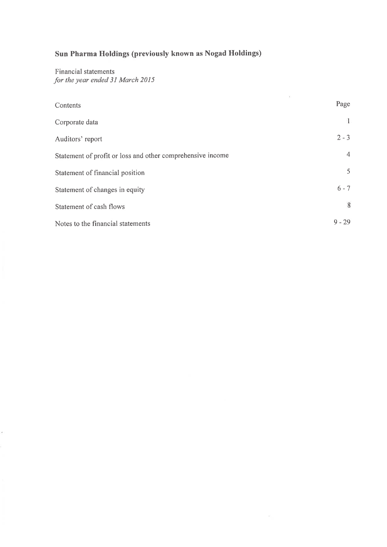### Financial statements for the year ended 31 March 2015

 $\overline{\phantom{a}}$ 

| Contents                                                   | Page           |
|------------------------------------------------------------|----------------|
| Corporate data                                             | $\mathbf{1}$   |
| Auditors' report                                           | $2 - 3$        |
| Statement of profit or loss and other comprehensive income | $\overline{4}$ |
| Statement of financial position                            | 5              |
| Statement of changes in equity                             | $6 - 7$        |
| Statement of cash flows                                    | $8\,$          |
| Notes to the financial statements                          | $9 - 29$       |

 $\tilde{E}^{\rm S}$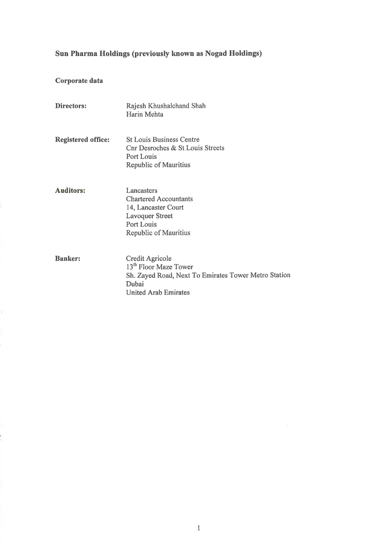Corporate data

J

| Directors:                | Rajesh Khushalchand Shah<br>Harin Mehta                                                                                                              |
|---------------------------|------------------------------------------------------------------------------------------------------------------------------------------------------|
| <b>Registered office:</b> | <b>St Louis Business Centre</b><br>Cnr Desroches & St Louis Streets<br>Port Louis<br><b>Republic of Mauritius</b>                                    |
| <b>Auditors:</b>          | Lancasters<br><b>Chartered Accountants</b><br>14, Lancaster Court<br><b>Lavoquer Street</b><br>Port Louis<br>Republic of Mauritius                   |
| <b>Banker:</b>            | Credit Agricole<br>13 <sup>th</sup> Floor Maze Tower<br>Sh. Zayed Road, Next To Emirates Tower Metro Station<br>Dubai<br><b>United Arab Emirates</b> |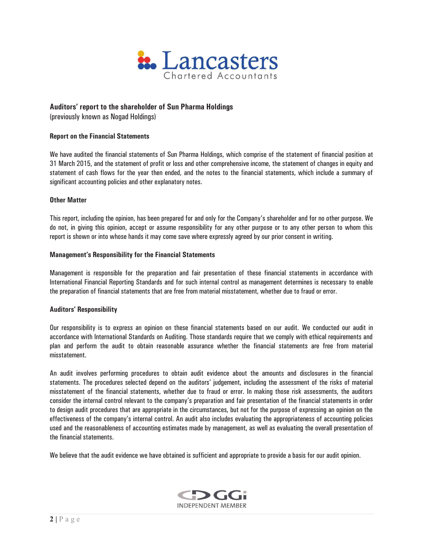

#### **Auditors' report to the shareholder of Sun Pharma Holdings**

(previously known as Nogad Holdings)

#### **Report on the Financial Statements**

We have audited the financial statements of Sun Pharma Holdings, which comprise of the statement of financial position at 31 March 2015, and the statement of profit or loss and other comprehensive income, the statement of changes in equity and statement of cash flows for the year then ended, and the notes to the financial statements, which include a summary of significant accounting policies and other explanatory notes.

#### **Other Matter**

This report, including the opinion, has been prepared for and only for the Company's shareholder and for no other purpose. We do not, in giving this opinion, accept or assume responsibility for any other purpose or to any other person to whom this report is shown or into whose hands it may come save where expressly agreed by our prior consent in writing.

#### **Management's Responsibility for the Financial Statements**

Management is responsible for the preparation and fair presentation of these financial statements in accordance with International Financial Reporting Standards and for such internal control as management determines is necessary to enable the preparation of financial statements that are free from material misstatement, whether due to fraud or error.

#### **Auditors' Responsibility**

Our responsibility is to express an opinion on these financial statements based on our audit. We conducted our audit in accordance with International Standards on Auditing. Those standards require that we comply with ethical requirements and plan and perform the audit to obtain reasonable assurance whether the financial statements are free from material misstatement.

An audit involves performing procedures to obtain audit evidence about the amounts and disclosures in the financial statements. The procedures selected depend on the auditors' judgement, including the assessment of the risks of material misstatement of the financial statements, whether due to fraud or error. In making those risk assessments, the auditors consider the internal control relevant to the company's preparation and fair presentation of the financial statements in order to design audit procedures that are appropriate in the circumstances, but not for the purpose of expressing an opinion on the effectiveness of the company's internal control. An audit also includes evaluating the appropriateness of accounting policies used and the reasonableness of accounting estimates made by management, as well as evaluating the overall presentation of the financial statements.

We believe that the audit evidence we have obtained is sufficient and appropriate to provide a basis for our audit opinion.

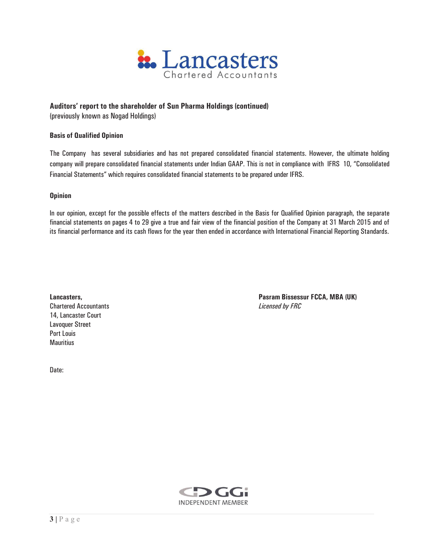

### **Auditors' report to the shareholder of Sun Pharma Holdings (continued)**

(previously known as Nogad Holdings)

#### **Basis of Qualified Opinion**

The Company has several subsidiaries and has not prepared consolidated financial statements. However, the ultimate holding company will prepare consolidated financial statements under Indian GAAP. This is not in compliance with IFRS 10, "Consolidated Financial Statements" which requires consolidated financial statements to be prepared under IFRS.

#### **Opinion**

In our opinion, except for the possible effects of the matters described in the Basis for Qualified Opinion paragraph, the separate financial statements on pages 4 to 29 give a true and fair view of the financial position of the Company at 31 March 2015 and of its financial performance and its cash flows for the year then ended in accordance with International Financial Reporting Standards.

Chartered Accountants *Licensed by FRC*  14, Lancaster Court Lavoquer Street Port Louis **Mauritius** 

**Lancasters, Pasram Bissessur FCCA, MBA (UK)** 

Date:

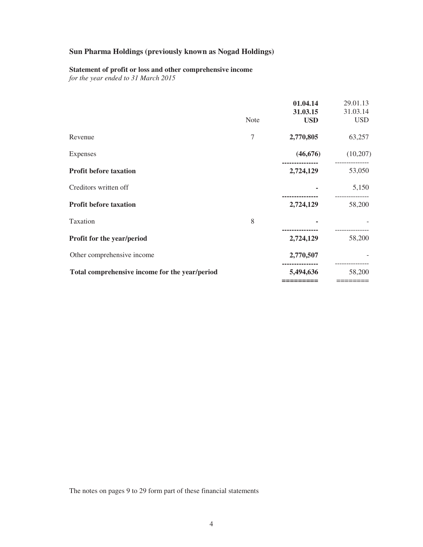## **Statement of profit or loss and other comprehensive income**

*for the year ended to 31 March 2015* 

|                                                | <b>Note</b> | 01.04.14<br>31.03.15<br><b>USD</b> | 29.01.13<br>31.03.14<br><b>USD</b> |
|------------------------------------------------|-------------|------------------------------------|------------------------------------|
| Revenue                                        | 7           | 2,770,805                          | 63,257                             |
| Expenses                                       |             | (46, 676)                          | (10,207)                           |
| <b>Profit before taxation</b>                  |             | 2,724,129                          | 53,050                             |
| Creditors written off                          |             |                                    | 5,150                              |
| <b>Profit before taxation</b>                  |             | 2,724,129                          | 58,200                             |
| Taxation                                       | 8           |                                    |                                    |
| Profit for the year/period                     |             | 2,724,129                          | 58,200                             |
| Other comprehensive income                     |             | 2,770,507                          |                                    |
| Total comprehensive income for the year/period |             | 5,494,636                          | 58,200                             |
|                                                |             |                                    |                                    |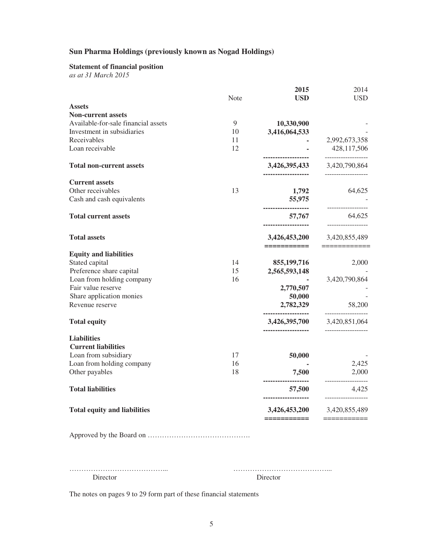#### **Statement of financial position**

*as at 31 March 2015* 

|                                     | Note | 2015<br><b>USD</b>                            | 2014<br><b>USD</b>                              |
|-------------------------------------|------|-----------------------------------------------|-------------------------------------------------|
| <b>Assets</b>                       |      |                                               |                                                 |
| <b>Non-current assets</b>           |      |                                               |                                                 |
| Available-for-sale financial assets | 9    | 10,330,900                                    |                                                 |
| Investment in subsidiaries          | 10   | 3,416,064,533                                 |                                                 |
| Receivables                         | 11   |                                               | 2,992,673,358                                   |
| Loan receivable                     | 12   |                                               | 428,117,506<br>-----------------                |
| <b>Total non-current assets</b>     |      |                                               | 3,426,395,433 3,420,790,864<br>---------------- |
| <b>Current assets</b>               |      |                                               |                                                 |
| Other receivables                   | 13   | 1,792                                         | 64,625                                          |
| Cash and cash equivalents           |      | 55,975                                        |                                                 |
| <b>Total current assets</b>         |      | ------------------<br>57,767<br>------------- | ----------------<br>64,625                      |
| <b>Total assets</b>                 |      | 3,426,453,200                                 | 3,420,855,489                                   |
| <b>Equity and liabilities</b>       |      | ===========                                   | ============                                    |
| Stated capital                      | 14   | 855,199,716                                   | 2,000                                           |
| Preference share capital            | 15   | 2,565,593,148                                 |                                                 |
| Loan from holding company           | 16   |                                               | 3,420,790,864                                   |
| Fair value reserve                  |      | 2,770,507                                     |                                                 |
| Share application monies            |      | 50,000                                        |                                                 |
| Revenue reserve                     |      | 2,782,329                                     | 58,200                                          |
| <b>Total equity</b>                 |      |                                               | -------------<br>3,426,395,700 3,420,851,064    |
| <b>Liabilities</b>                  |      |                                               |                                                 |
| <b>Current liabilities</b>          |      |                                               |                                                 |
| Loan from subsidiary                | 17   | 50,000                                        |                                                 |
| Loan from holding company           | 16   |                                               | 2,425                                           |
| Other payables                      | 18   | 7,500                                         | 2,000                                           |
| <b>Total liabilities</b>            |      | ----------------<br>57,500                    | 4,425                                           |
| <b>Total equity and liabilities</b> |      | 3,426,453,200<br>===========                  | 3,420,855,489<br>$=$ = = = = = = = = = = =      |

Approved by the Board on …………………………………….

…………………………………... …………………………………...

Director Director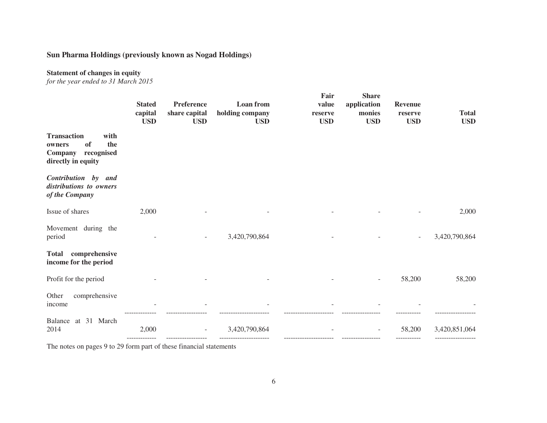**Statement of changes in equity**  *for the year ended to 31 March 2015* 

|                                                                                                         | <b>Stated</b><br>capital<br><b>USD</b> | Preference<br>share capital<br><b>USD</b> | Loan from<br>holding company<br><b>USD</b> | Fair<br>value<br>reserve<br><b>USD</b> | <b>Share</b><br>application<br>monies<br><b>USD</b> | <b>Revenue</b><br>reserve<br><b>USD</b> | <b>Total</b><br><b>USD</b> |
|---------------------------------------------------------------------------------------------------------|----------------------------------------|-------------------------------------------|--------------------------------------------|----------------------------------------|-----------------------------------------------------|-----------------------------------------|----------------------------|
| <b>Transaction</b><br>with<br><b>of</b><br>the<br>owners<br>recognised<br>Company<br>directly in equity |                                        |                                           |                                            |                                        |                                                     |                                         |                            |
| Contribution by and<br>distributions to owners<br>of the Company                                        |                                        |                                           |                                            |                                        |                                                     |                                         |                            |
| Issue of shares                                                                                         | 2,000                                  |                                           |                                            |                                        |                                                     |                                         | 2,000                      |
| Movement during the<br>period                                                                           |                                        |                                           | 3,420,790,864                              |                                        |                                                     | $\overline{\phantom{a}}$                | 3,420,790,864              |
| comprehensive<br><b>Total</b><br>income for the period                                                  |                                        |                                           |                                            |                                        |                                                     |                                         |                            |
| Profit for the period                                                                                   |                                        |                                           |                                            |                                        | $\overline{\phantom{a}}$                            | 58,200                                  | 58,200                     |
| Other<br>comprehensive<br>income                                                                        |                                        |                                           |                                            |                                        |                                                     |                                         |                            |
| Balance at 31 March<br>2014                                                                             | 2,000                                  |                                           | 3,420,790,864                              |                                        |                                                     | 58,200                                  | 3,420,851,064              |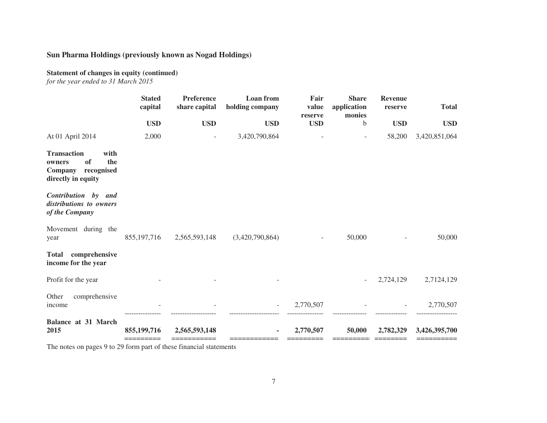# **Statement of changes in equity (continued)**  *for the year ended to 31 March 2015*

|                                                                                                             | <b>Stated</b><br>capital | Preference<br>share capital | Loan from<br>holding company | Fair<br>value<br>reserve | <b>Share</b><br>application<br>monies | <b>Revenue</b><br>reserve | <b>Total</b>  |
|-------------------------------------------------------------------------------------------------------------|--------------------------|-----------------------------|------------------------------|--------------------------|---------------------------------------|---------------------------|---------------|
|                                                                                                             | <b>USD</b>               | <b>USD</b>                  | <b>USD</b>                   | <b>USD</b>               | b                                     | <b>USD</b>                | <b>USD</b>    |
| At 01 April 2014                                                                                            | 2,000                    | $\overline{\phantom{a}}$    | 3,420,790,864                |                          |                                       | 58,200                    | 3,420,851,064 |
| <b>Transaction</b><br>with<br><sub>of</sub><br>the<br>owners<br>recognised<br>Company<br>directly in equity |                          |                             |                              |                          |                                       |                           |               |
| Contribution by and<br>distributions to owners<br>of the Company                                            |                          |                             |                              |                          |                                       |                           |               |
| Movement during the<br>year                                                                                 | 855,197,716              | 2,565,593,148               | (3,420,790,864)              |                          | 50,000                                |                           | 50,000        |
| comprehensive<br><b>Total</b><br>income for the year                                                        |                          |                             |                              |                          |                                       |                           |               |
| Profit for the year                                                                                         |                          |                             |                              |                          |                                       | 2,724,129                 | 2,7124,129    |
| comprehensive<br>Other<br>income                                                                            |                          |                             |                              | 2,770,507                |                                       |                           | 2,770,507     |
| <b>Balance at 31 March</b><br>2015                                                                          | 855,199,716<br>————————— | 2,565,593,148               |                              | 2,770,507                | 50,000                                | 2,782,329                 | 3,426,395,700 |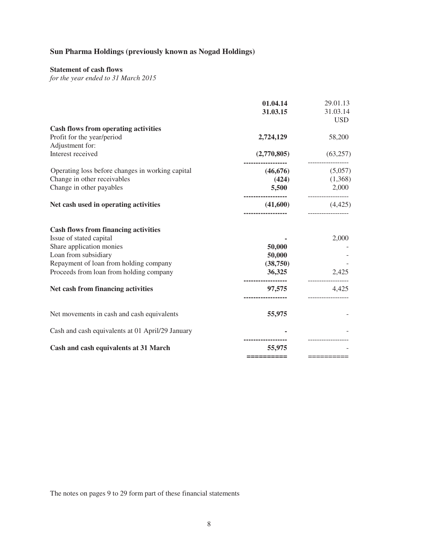### **Statement of cash flows**

*for the year ended to 31 March 2015* 

|                                                                        | 01.04.14<br>31.03.15 | 29.01.13<br>31.03.14<br><b>USD</b> |
|------------------------------------------------------------------------|----------------------|------------------------------------|
| <b>Cash flows from operating activities</b>                            |                      |                                    |
| Profit for the year/period                                             | 2,724,129            | 58,200                             |
| Adjustment for:                                                        |                      |                                    |
| Interest received                                                      | (2,770,805)          | (63,257)                           |
| Operating loss before changes in working capital                       | (46, 676)            | (5,057)                            |
| Change in other receivables                                            |                      | $(424)$ $(1,368)$                  |
| Change in other payables                                               | 5,500                | 2,000                              |
| Net cash used in operating activities                                  |                      | $(41,600)$ $(4,425)$               |
| <b>Cash flows from financing activities</b><br>Issue of stated capital |                      | 2,000                              |
| Share application monies                                               | 50,000               |                                    |
| Loan from subsidiary                                                   | 50,000               |                                    |
| Repayment of loan from holding company                                 | (38,750)             |                                    |
| Proceeds from loan from holding company                                | 36,325               | 2,425                              |
| Net cash from financing activities                                     | 97,575               | 4,425                              |
| Net movements in cash and cash equivalents                             | 55,975               |                                    |
| Cash and cash equivalents at 01 April/29 January                       |                      |                                    |
|                                                                        |                      |                                    |
| Cash and cash equivalents at 31 March                                  | 55,975               |                                    |
|                                                                        | ==========           |                                    |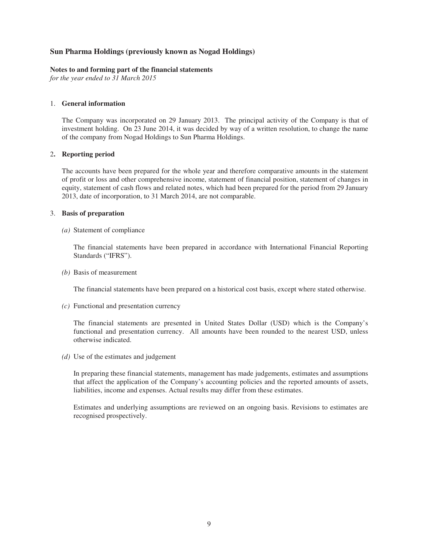#### **Notes to and forming part of the financial statements**

*for the year ended to 31 March 2015* 

#### 1. **General information**

The Company was incorporated on 29 January 2013. The principal activity of the Company is that of investment holding. On 23 June 2014, it was decided by way of a written resolution, to change the name of the company from Nogad Holdings to Sun Pharma Holdings.

#### 2**. Reporting period**

The accounts have been prepared for the whole year and therefore comparative amounts in the statement of profit or loss and other comprehensive income, statement of financial position, statement of changes in equity, statement of cash flows and related notes, which had been prepared for the period from 29 January 2013, date of incorporation, to 31 March 2014, are not comparable.

#### 3. **Basis of preparation**

*(a)* Statement of compliance

The financial statements have been prepared in accordance with International Financial Reporting Standards ("IFRS").

*(b)* Basis of measurement

The financial statements have been prepared on a historical cost basis, except where stated otherwise.

*(c)* Functional and presentation currency

The financial statements are presented in United States Dollar (USD) which is the Company's functional and presentation currency. All amounts have been rounded to the nearest USD, unless otherwise indicated.

*(d)* Use of the estimates and judgement

In preparing these financial statements, management has made judgements, estimates and assumptions that affect the application of the Company's accounting policies and the reported amounts of assets, liabilities, income and expenses. Actual results may differ from these estimates.

Estimates and underlying assumptions are reviewed on an ongoing basis. Revisions to estimates are recognised prospectively.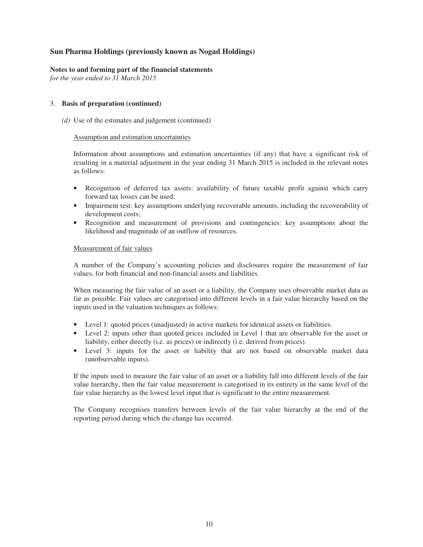#### **Notes to and forming part of the financial statements**

*for the year ended to 31 March 2015* 

#### 3. **Basis of preparation (continued)**

*(d)* Use of the estimates and judgement (continued)

#### Assumption and estimation uncertainties

Information about assumptions and estimation uncertainties (if any) that have a significant risk of resulting in a material adjustment in the year ending 31 March 2015 is included in the relevant notes as follows:

- Recognition of deferred tax assets: availability of future taxable profit against which carry forward tax losses can be used;
- Impairment test: key assumptions underlying recoverable amounts, including the recoverability of development costs;
- Recognition and measurement of provisions and contingencies: key assumptions about the likelihood and magnitude of an outflow of resources.

#### Measurement of fair values

A number of the Company's accounting policies and disclosures require the measurement of fair values, for both financial and non-financial assets and liabilities.

When measuring the fair value of an asset or a liability, the Company uses observable market data as far as possible. Fair values are categorised into different levels in a fair value hierarchy based on the inputs used in the valuation techniques as follows:

- Level 1: quoted prices (unadjusted) in active markets for identical assets or liabilities.
- Level 2: inputs other than quoted prices included in Level 1 that are observable for the asset or liability, either directly (i.e. as prices) or indirectly (i.e. derived from prices).
- Level 3: inputs for the asset or liability that are not based on observable market data (unobservable inputs).

If the inputs used to measure the fair value of an asset or a liability fall into different levels of the fair value hierarchy, then the fair value measurement is categorised in its entirety in the same level of the fair value hierarchy as the lowest level input that is significant to the entire measurement.

The Company recognises transfers between levels of the fair value hierarchy at the end of the reporting period during which the change has occurred.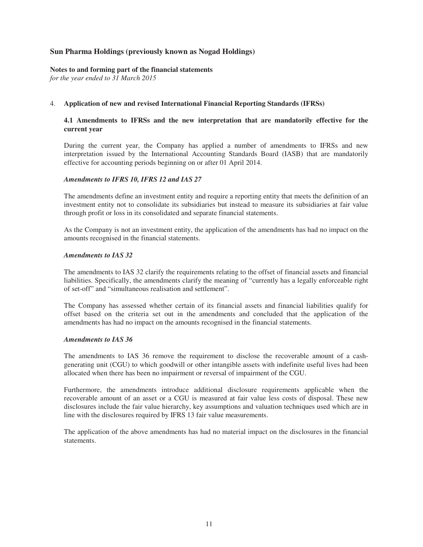#### **Notes to and forming part of the financial statements**

*for the year ended to 31 March 2015* 

#### 4. **Application of new and revised International Financial Reporting Standards (IFRSs)**

#### **4.1 Amendments to IFRSs and the new interpretation that are mandatorily effective for the current year**

During the current year, the Company has applied a number of amendments to IFRSs and new interpretation issued by the International Accounting Standards Board (IASB) that are mandatorily effective for accounting periods beginning on or after 01 April 2014.

#### *Amendments to IFRS 10, IFRS 12 and IAS 27*

The amendments define an investment entity and require a reporting entity that meets the definition of an investment entity not to consolidate its subsidiaries but instead to measure its subsidiaries at fair value through profit or loss in its consolidated and separate financial statements.

As the Company is not an investment entity, the application of the amendments has had no impact on the amounts recognised in the financial statements.

#### *Amendments to IAS 32*

The amendments to IAS 32 clarify the requirements relating to the offset of financial assets and financial liabilities. Specifically, the amendments clarify the meaning of "currently has a legally enforceable right of set-off" and "simultaneous realisation and settlement".

The Company has assessed whether certain of its financial assets and financial liabilities qualify for offset based on the criteria set out in the amendments and concluded that the application of the amendments has had no impact on the amounts recognised in the financial statements.

#### *Amendments to IAS 36*

The amendments to IAS 36 remove the requirement to disclose the recoverable amount of a cashgenerating unit (CGU) to which goodwill or other intangible assets with indefinite useful lives had been allocated when there has been no impairment or reversal of impairment of the CGU.

Furthermore, the amendments introduce additional disclosure requirements applicable when the recoverable amount of an asset or a CGU is measured at fair value less costs of disposal. These new disclosures include the fair value hierarchy, key assumptions and valuation techniques used which are in line with the disclosures required by IFRS 13 fair value measurements.

The application of the above amendments has had no material impact on the disclosures in the financial statements.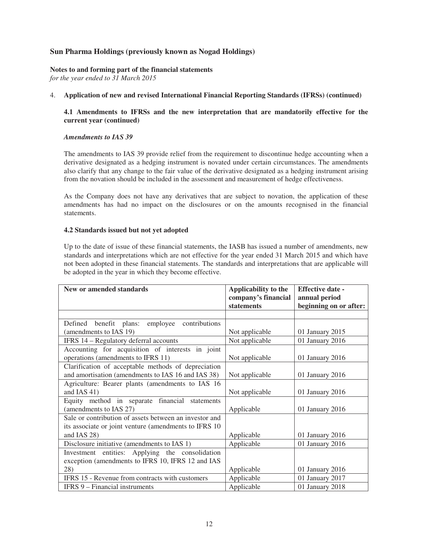**Notes to and forming part of the financial statements**  *for the year ended to 31 March 2015* 

#### 4. **Application of new and revised International Financial Reporting Standards (IFRSs) (continued)**

#### **4.1 Amendments to IFRSs and the new interpretation that are mandatorily effective for the current year (continued)**

#### *Amendments to IAS 39*

The amendments to IAS 39 provide relief from the requirement to discontinue hedge accounting when a derivative designated as a hedging instrument is novated under certain circumstances. The amendments also clarify that any change to the fair value of the derivative designated as a hedging instrument arising from the novation should be included in the assessment and measurement of hedge effectiveness.

As the Company does not have any derivatives that are subject to novation, the application of these amendments has had no impact on the disclosures or on the amounts recognised in the financial statements.

#### **4.2 Standards issued but not yet adopted**

Up to the date of issue of these financial statements, the IASB has issued a number of amendments, new standards and interpretations which are not effective for the year ended 31 March 2015 and which have not been adopted in these financial statements. The standards and interpretations that are applicable will be adopted in the year in which they become effective.

| New or amended standards                               | Applicability to the | <b>Effective date -</b> |
|--------------------------------------------------------|----------------------|-------------------------|
|                                                        | company's financial  | annual period           |
|                                                        | statements           | beginning on or after:  |
|                                                        |                      |                         |
| Defined benefit plans: employee contributions          |                      |                         |
| (amendments to IAS 19)                                 | Not applicable       | 01 January 2015         |
| IFRS 14 - Regulatory deferral accounts                 | Not applicable       | 01 January 2016         |
| Accounting for acquisition of interests in joint       |                      |                         |
| operations (amendments to IFRS 11)                     | Not applicable       | 01 January 2016         |
| Clarification of acceptable methods of depreciation    |                      |                         |
| and amortisation (amendments to IAS 16 and IAS 38)     | Not applicable       | 01 January 2016         |
| Agriculture: Bearer plants (amendments to IAS 16       |                      |                         |
| and IAS 41)                                            | Not applicable       | 01 January 2016         |
| Equity method in separate financial statements         |                      |                         |
| (amendments to IAS 27)                                 | Applicable           | 01 January 2016         |
| Sale or contribution of assets between an investor and |                      |                         |
| its associate or joint venture (amendments to IFRS 10  |                      |                         |
| and IAS 28)                                            | Applicable           | 01 January 2016         |
| Disclosure initiative (amendments to IAS 1)            | Applicable           | 01 January 2016         |
| Investment entities: Applying the consolidation        |                      |                         |
| exception (amendments to IFRS 10, IFRS 12 and IAS      |                      |                         |
| 28)                                                    | Applicable           | 01 January 2016         |
| IFRS 15 - Revenue from contracts with customers        | Applicable           | 01 January 2017         |
| IFRS 9 – Financial instruments                         | Applicable           | 01 January 2018         |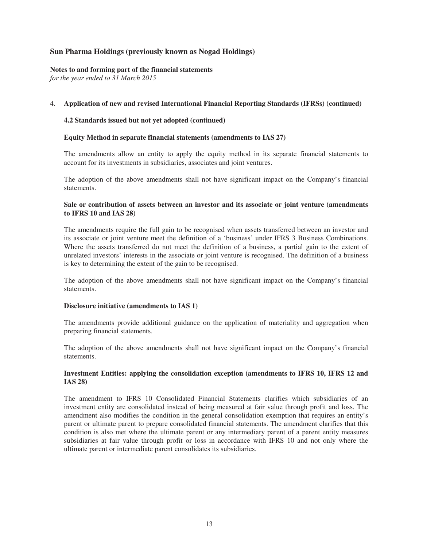### **Notes to and forming part of the financial statements**

*for the year ended to 31 March 2015* 

#### 4. **Application of new and revised International Financial Reporting Standards (IFRSs) (continued)**

#### **4.2 Standards issued but not yet adopted (continued)**

#### **Equity Method in separate financial statements (amendments to IAS 27)**

The amendments allow an entity to apply the equity method in its separate financial statements to account for its investments in subsidiaries, associates and joint ventures.

The adoption of the above amendments shall not have significant impact on the Company's financial statements.

#### **Sale or contribution of assets between an investor and its associate or joint venture (amendments to IFRS 10 and IAS 28)**

The amendments require the full gain to be recognised when assets transferred between an investor and its associate or joint venture meet the definition of a 'business' under IFRS 3 Business Combinations. Where the assets transferred do not meet the definition of a business, a partial gain to the extent of unrelated investors' interests in the associate or joint venture is recognised. The definition of a business is key to determining the extent of the gain to be recognised.

The adoption of the above amendments shall not have significant impact on the Company's financial statements.

#### **Disclosure initiative (amendments to IAS 1)**

The amendments provide additional guidance on the application of materiality and aggregation when preparing financial statements.

The adoption of the above amendments shall not have significant impact on the Company's financial statements.

#### **Investment Entities: applying the consolidation exception (amendments to IFRS 10, IFRS 12 and IAS 28)**

The amendment to IFRS 10 Consolidated Financial Statements clarifies which subsidiaries of an investment entity are consolidated instead of being measured at fair value through profit and loss. The amendment also modifies the condition in the general consolidation exemption that requires an entity's parent or ultimate parent to prepare consolidated financial statements. The amendment clarifies that this condition is also met where the ultimate parent or any intermediary parent of a parent entity measures subsidiaries at fair value through profit or loss in accordance with IFRS 10 and not only where the ultimate parent or intermediate parent consolidates its subsidiaries.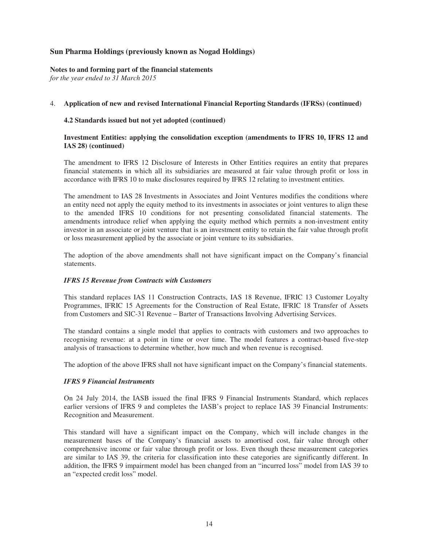### **Notes to and forming part of the financial statements**

*for the year ended to 31 March 2015* 

#### 4. **Application of new and revised International Financial Reporting Standards (IFRSs) (continued)**

#### **4.2 Standards issued but not yet adopted (continued)**

#### **Investment Entities: applying the consolidation exception (amendments to IFRS 10, IFRS 12 and IAS 28) (continued)**

The amendment to IFRS 12 Disclosure of Interests in Other Entities requires an entity that prepares financial statements in which all its subsidiaries are measured at fair value through profit or loss in accordance with IFRS 10 to make disclosures required by IFRS 12 relating to investment entities.

The amendment to IAS 28 Investments in Associates and Joint Ventures modifies the conditions where an entity need not apply the equity method to its investments in associates or joint ventures to align these to the amended IFRS 10 conditions for not presenting consolidated financial statements. The amendments introduce relief when applying the equity method which permits a non-investment entity investor in an associate or joint venture that is an investment entity to retain the fair value through profit or loss measurement applied by the associate or joint venture to its subsidiaries.

The adoption of the above amendments shall not have significant impact on the Company's financial statements.

#### *IFRS 15 Revenue from Contracts with Customers*

This standard replaces IAS 11 Construction Contracts, IAS 18 Revenue, IFRIC 13 Customer Loyalty Programmes, IFRIC 15 Agreements for the Construction of Real Estate, IFRIC 18 Transfer of Assets from Customers and SIC-31 Revenue – Barter of Transactions Involving Advertising Services.

The standard contains a single model that applies to contracts with customers and two approaches to recognising revenue: at a point in time or over time. The model features a contract-based five-step analysis of transactions to determine whether, how much and when revenue is recognised.

The adoption of the above IFRS shall not have significant impact on the Company's financial statements.

#### *IFRS 9 Financial Instruments*

On 24 July 2014, the IASB issued the final IFRS 9 Financial Instruments Standard, which replaces earlier versions of IFRS 9 and completes the IASB's project to replace IAS 39 Financial Instruments: Recognition and Measurement.

This standard will have a significant impact on the Company, which will include changes in the measurement bases of the Company's financial assets to amortised cost, fair value through other comprehensive income or fair value through profit or loss. Even though these measurement categories are similar to IAS 39, the criteria for classification into these categories are significantly different. In addition, the IFRS 9 impairment model has been changed from an "incurred loss" model from IAS 39 to an "expected credit loss" model.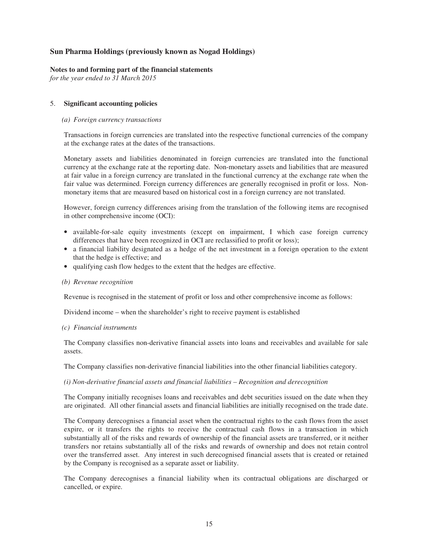#### **Notes to and forming part of the financial statements**

*for the year ended to 31 March 2015* 

#### 5. **Significant accounting policies**

#### *(a) Foreign currency transactions*

Transactions in foreign currencies are translated into the respective functional currencies of the company at the exchange rates at the dates of the transactions.

Monetary assets and liabilities denominated in foreign currencies are translated into the functional currency at the exchange rate at the reporting date. Non-monetary assets and liabilities that are measured at fair value in a foreign currency are translated in the functional currency at the exchange rate when the fair value was determined. Foreign currency differences are generally recognised in profit or loss. Nonmonetary items that are measured based on historical cost in a foreign currency are not translated.

However, foreign currency differences arising from the translation of the following items are recognised in other comprehensive income (OCI):

- available-for-sale equity investments (except on impairment, I which case foreign currency differences that have been recognized in OCI are reclassified to profit or loss);
- a financial liability designated as a hedge of the net investment in a foreign operation to the extent that the hedge is effective; and
- qualifying cash flow hedges to the extent that the hedges are effective.

#### *(b) Revenue recognition*

Revenue is recognised in the statement of profit or loss and other comprehensive income as follows:

Dividend income – when the shareholder's right to receive payment is established

#### *(c) Financial instruments*

The Company classifies non-derivative financial assets into loans and receivables and available for sale assets.

The Company classifies non-derivative financial liabilities into the other financial liabilities category.

#### *(i) Non-derivative financial assets and financial liabilities – Recognition and derecognition*

The Company initially recognises loans and receivables and debt securities issued on the date when they are originated. All other financial assets and financial liabilities are initially recognised on the trade date.

The Company derecognises a financial asset when the contractual rights to the cash flows from the asset expire, or it transfers the rights to receive the contractual cash flows in a transaction in which substantially all of the risks and rewards of ownership of the financial assets are transferred, or it neither transfers nor retains substantially all of the risks and rewards of ownership and does not retain control over the transferred asset. Any interest in such derecognised financial assets that is created or retained by the Company is recognised as a separate asset or liability.

The Company derecognises a financial liability when its contractual obligations are discharged or cancelled, or expire.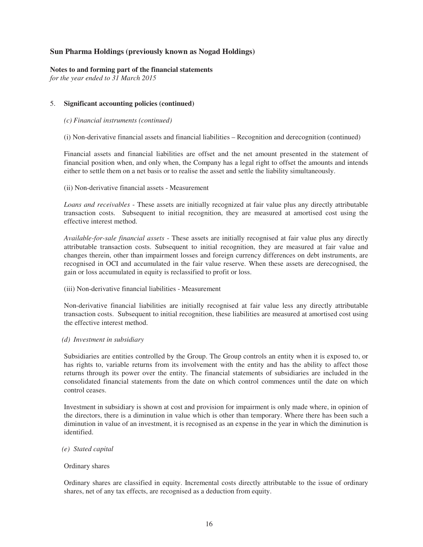#### **Notes to and forming part of the financial statements**

*for the year ended to 31 March 2015* 

#### 5. **Significant accounting policies (continued)**

#### *(c) Financial instruments (continued)*

(i) Non-derivative financial assets and financial liabilities – Recognition and derecognition (continued)

Financial assets and financial liabilities are offset and the net amount presented in the statement of financial position when, and only when, the Company has a legal right to offset the amounts and intends either to settle them on a net basis or to realise the asset and settle the liability simultaneously.

#### (ii) Non-derivative financial assets - Measurement

*Loans and receivables* - These assets are initially recognized at fair value plus any directly attributable transaction costs. Subsequent to initial recognition, they are measured at amortised cost using the effective interest method.

*Available-for-sale financial assets* - These assets are initially recognised at fair value plus any directly attributable transaction costs. Subsequent to initial recognition, they are measured at fair value and changes therein, other than impairment losses and foreign currency differences on debt instruments, are recognised in OCI and accumulated in the fair value reserve. When these assets are derecognised, the gain or loss accumulated in equity is reclassified to profit or loss.

#### (iii) Non-derivative financial liabilities - Measurement

Non-derivative financial liabilities are initially recognised at fair value less any directly attributable transaction costs. Subsequent to initial recognition, these liabilities are measured at amortised cost using the effective interest method.

#### *(d) Investment in subsidiary*

Subsidiaries are entities controlled by the Group. The Group controls an entity when it is exposed to, or has rights to, variable returns from its involvement with the entity and has the ability to affect those returns through its power over the entity. The financial statements of subsidiaries are included in the consolidated financial statements from the date on which control commences until the date on which control ceases.

Investment in subsidiary is shown at cost and provision for impairment is only made where, in opinion of the directors, there is a diminution in value which is other than temporary. Where there has been such a diminution in value of an investment, it is recognised as an expense in the year in which the diminution is identified.

#### *(e) Stated capital*

#### Ordinary shares

Ordinary shares are classified in equity. Incremental costs directly attributable to the issue of ordinary shares, net of any tax effects, are recognised as a deduction from equity.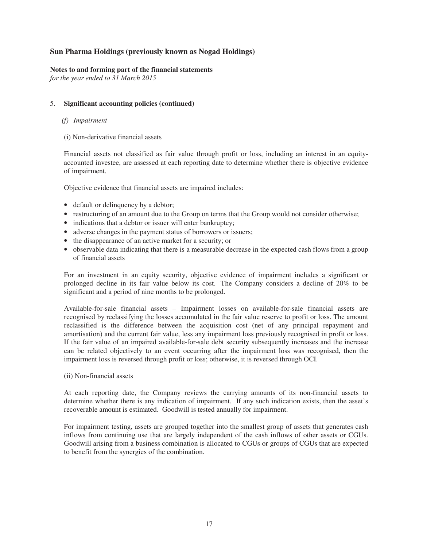#### **Notes to and forming part of the financial statements**

*for the year ended to 31 March 2015* 

#### 5. **Significant accounting policies (continued)**

- *(f) Impairment*
- (i) Non-derivative financial assets

Financial assets not classified as fair value through profit or loss, including an interest in an equityaccounted investee, are assessed at each reporting date to determine whether there is objective evidence of impairment.

Objective evidence that financial assets are impaired includes:

- default or delinquency by a debtor;
- restructuring of an amount due to the Group on terms that the Group would not consider otherwise;
- indications that a debtor or issuer will enter bankruptcy;
- adverse changes in the payment status of borrowers or issuers;
- the disappearance of an active market for a security; or
- observable data indicating that there is a measurable decrease in the expected cash flows from a group of financial assets

For an investment in an equity security, objective evidence of impairment includes a significant or prolonged decline in its fair value below its cost. The Company considers a decline of 20% to be significant and a period of nine months to be prolonged.

Available-for-sale financial assets – Impairment losses on available-for-sale financial assets are recognised by reclassifying the losses accumulated in the fair value reserve to profit or loss. The amount reclassified is the difference between the acquisition cost (net of any principal repayment and amortisation) and the current fair value, less any impairment loss previously recognised in profit or loss. If the fair value of an impaired available-for-sale debt security subsequently increases and the increase can be related objectively to an event occurring after the impairment loss was recognised, then the impairment loss is reversed through profit or loss; otherwise, it is reversed through OCI.

(ii) Non-financial assets

At each reporting date, the Company reviews the carrying amounts of its non-financial assets to determine whether there is any indication of impairment. If any such indication exists, then the asset's recoverable amount is estimated. Goodwill is tested annually for impairment.

For impairment testing, assets are grouped together into the smallest group of assets that generates cash inflows from continuing use that are largely independent of the cash inflows of other assets or CGUs. Goodwill arising from a business combination is allocated to CGUs or groups of CGUs that are expected to benefit from the synergies of the combination.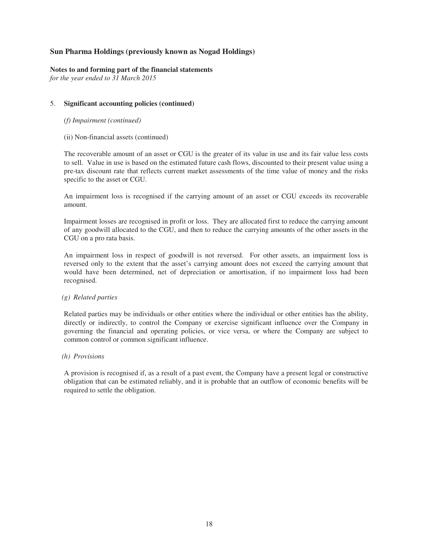#### **Notes to and forming part of the financial statements**

*for the year ended to 31 March 2015* 

#### 5. **Significant accounting policies (continued)**

- *(f) Impairment (continued)*
- (ii) Non-financial assets (continued)

The recoverable amount of an asset or CGU is the greater of its value in use and its fair value less costs to sell. Value in use is based on the estimated future cash flows, discounted to their present value using a pre-tax discount rate that reflects current market assessments of the time value of money and the risks specific to the asset or CGU.

An impairment loss is recognised if the carrying amount of an asset or CGU exceeds its recoverable amount.

Impairment losses are recognised in profit or loss. They are allocated first to reduce the carrying amount of any goodwill allocated to the CGU, and then to reduce the carrying amounts of the other assets in the CGU on a pro rata basis.

An impairment loss in respect of goodwill is not reversed. For other assets, an impairment loss is reversed only to the extent that the asset's carrying amount does not exceed the carrying amount that would have been determined, net of depreciation or amortisation, if no impairment loss had been recognised.

#### *(g) Related parties*

Related parties may be individuals or other entities where the individual or other entities has the ability, directly or indirectly, to control the Company or exercise significant influence over the Company in governing the financial and operating policies, or vice versa, or where the Company are subject to common control or common significant influence.

#### *(h) Provisions*

A provision is recognised if, as a result of a past event, the Company have a present legal or constructive obligation that can be estimated reliably, and it is probable that an outflow of economic benefits will be required to settle the obligation.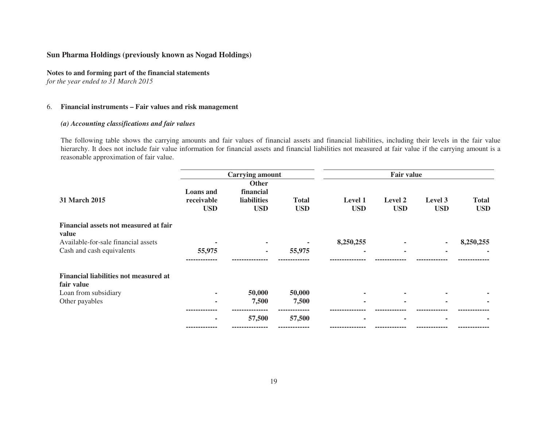#### **Notes to and forming part of the financial statements**

*for the year ended to 31 March 2015* 

#### 6. **Financial instruments – Fair values and risk management**

#### *(a) Accounting classifications and fair values*

The following table shows the carrying amounts and fair values of financial assets and financial liabilities, including their levels in the fair value hierarchy. It does not include fair value information for financial assets and financial liabilities not measured at fair value if the carrying amount is a reasonable approximation of fair value.

|                                                     |                                              | <b>Carrying amount</b>                                 |                            |                              | <b>Fair value</b>            |                       |                            |
|-----------------------------------------------------|----------------------------------------------|--------------------------------------------------------|----------------------------|------------------------------|------------------------------|-----------------------|----------------------------|
| 31 March 2015                                       | <b>Loans</b> and<br>receivable<br><b>USD</b> | <b>Other</b><br>financial<br>liabilities<br><b>USD</b> | <b>Total</b><br><b>USD</b> | <b>Level 1</b><br><b>USD</b> | <b>Level 2</b><br><b>USD</b> | Level 3<br><b>USD</b> | <b>Total</b><br><b>USD</b> |
| Financial assets not measured at fair<br>value      |                                              |                                                        |                            |                              |                              |                       |                            |
| Available-for-sale financial assets                 |                                              | $\overline{\phantom{a}}$                               |                            | 8,250,255                    | ۰                            | ٠                     | 8,250,255                  |
| Cash and cash equivalents                           | 55,975                                       | $\blacksquare$                                         | 55,975                     | $\blacksquare$               | ٠                            | $\sim$                | $\overline{\phantom{a}}$   |
|                                                     |                                              |                                                        |                            |                              |                              |                       |                            |
| Financial liabilities not measured at<br>fair value |                                              |                                                        |                            |                              |                              |                       |                            |
| Loan from subsidiary                                | ۰                                            | 50,000                                                 | 50,000                     | $\sim$                       | ٠                            | $\sim$                |                            |
| Other payables                                      | $\blacksquare$                               | 7,500                                                  | 7,500                      | $\sim$                       | $\blacksquare$               | ۰                     | ٠                          |
|                                                     |                                              |                                                        |                            |                              |                              |                       |                            |
|                                                     | ۰                                            | 57,500                                                 | 57,500                     | $\overline{\phantom{a}}$     |                              |                       | ٠                          |
|                                                     |                                              |                                                        |                            |                              |                              |                       |                            |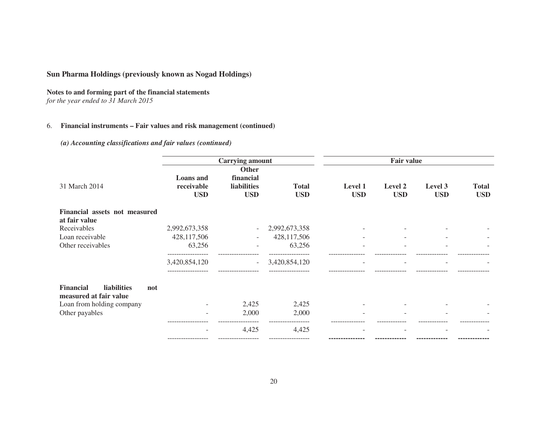#### **Notes to and forming part of the financial statements**

*for the year ended to 31 March 2015* 

#### 6. **Financial instruments – Fair values and risk management (continued)**

*(a) Accounting classifications and fair values (continued)* 

|                                                                                                                 | <b>Carrying amount</b>                       |                                                        |                                   | Fair value            |                       |                       |                            |
|-----------------------------------------------------------------------------------------------------------------|----------------------------------------------|--------------------------------------------------------|-----------------------------------|-----------------------|-----------------------|-----------------------|----------------------------|
| 31 March 2014                                                                                                   | <b>Loans</b> and<br>receivable<br><b>USD</b> | Other<br>financial<br><b>liabilities</b><br><b>USD</b> | <b>Total</b><br><b>USD</b>        | Level 1<br><b>USD</b> | Level 2<br><b>USD</b> | Level 3<br><b>USD</b> | <b>Total</b><br><b>USD</b> |
| Financial assets not measured                                                                                   |                                              |                                                        |                                   |                       |                       |                       |                            |
| at fair value                                                                                                   |                                              |                                                        |                                   |                       |                       |                       |                            |
| Receivables                                                                                                     | 2,992,673,358                                |                                                        | 2,992,673,358                     |                       |                       |                       |                            |
| Loan receivable                                                                                                 | 428,117,506                                  |                                                        | 428,117,506                       |                       |                       |                       |                            |
| Other receivables                                                                                               | 63,256                                       |                                                        | 63,256                            |                       |                       |                       |                            |
|                                                                                                                 | ------------<br>3,420,854,120                | $\overline{\phantom{a}}$                               | ----------------<br>3,420,854,120 |                       |                       |                       |                            |
| liabilities<br><b>Financial</b><br>not<br>measured at fair value<br>Loan from holding company<br>Other payables | $\overline{\phantom{0}}$                     | 2,425<br>2,000<br>4,425                                | 2,425<br>2,000<br>4,425           |                       |                       |                       |                            |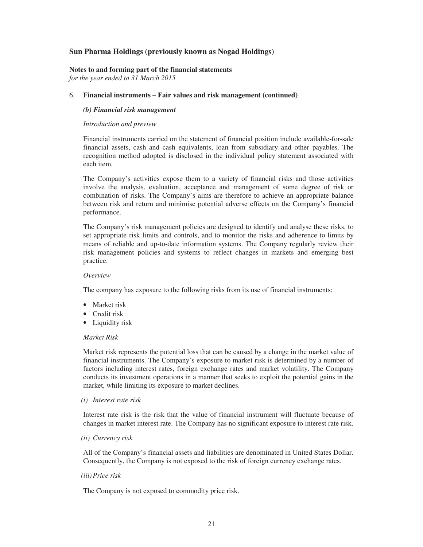**Notes to and forming part of the financial statements**  *for the year ended to 31 March 2015* 

#### 6. **Financial instruments – Fair values and risk management (continued)**

#### *(b) Financial risk management*

#### *Introduction and preview*

Financial instruments carried on the statement of financial position include available-for-sale financial assets, cash and cash equivalents, loan from subsidiary and other payables. The recognition method adopted is disclosed in the individual policy statement associated with each item.

The Company's activities expose them to a variety of financial risks and those activities involve the analysis, evaluation, acceptance and management of some degree of risk or combination of risks. The Company's aims are therefore to achieve an appropriate balance between risk and return and minimise potential adverse effects on the Company's financial performance.

The Company's risk management policies are designed to identify and analyse these risks, to set appropriate risk limits and controls, and to monitor the risks and adherence to limits by means of reliable and up-to-date information systems. The Company regularly review their risk management policies and systems to reflect changes in markets and emerging best practice.

#### *Overview*

The company has exposure to the following risks from its use of financial instruments:

- Market risk
- Credit risk
- Liquidity risk

#### *Market Risk*

Market risk represents the potential loss that can be caused by a change in the market value of financial instruments. The Company's exposure to market risk is determined by a number of factors including interest rates, foreign exchange rates and market volatility. The Company conducts its investment operations in a manner that seeks to exploit the potential gains in the market, while limiting its exposure to market declines.

*(i) Interest rate risk* 

Interest rate risk is the risk that the value of financial instrument will fluctuate because of changes in market interest rate. The Company has no significant exposure to interest rate risk.

*(ii) Currency risk* 

All of the Company's financial assets and liabilities are denominated in United States Dollar. Consequently, the Company is not exposed to the risk of foreign currency exchange rates.

#### *(iii) Price risk*

The Company is not exposed to commodity price risk.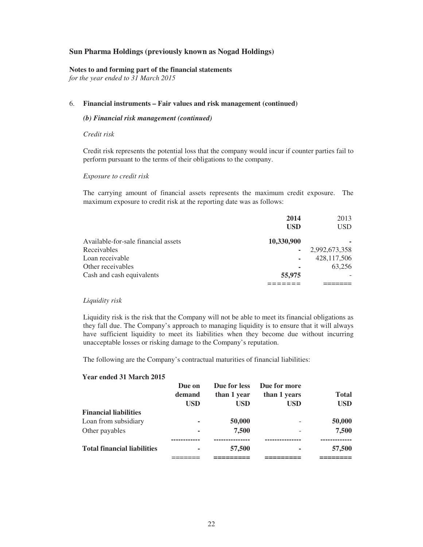### **Notes to and forming part of the financial statements**

*for the year ended to 31 March 2015* 

#### 6. **Financial instruments – Fair values and risk management (continued)**

#### *(b) Financial risk management (continued)*

#### *Credit risk*

Credit risk represents the potential loss that the company would incur if counter parties fail to perform pursuant to the terms of their obligations to the company.

#### *Exposure to credit risk*

The carrying amount of financial assets represents the maximum credit exposure. The maximum exposure to credit risk at the reporting date was as follows:

|                                     | 2014       | 2013          |
|-------------------------------------|------------|---------------|
|                                     | <b>USD</b> | <b>USD</b>    |
| Available-for-sale financial assets | 10,330,900 |               |
| Receivables                         |            | 2,992,673,358 |
| Loan receivable                     |            | 428,117,506   |
| Other receivables                   |            | 63.256        |
| Cash and cash equivalents           | 55,975     |               |
|                                     |            |               |

#### *Liquidity risk*

Liquidity risk is the risk that the Company will not be able to meet its financial obligations as they fall due. The Company's approach to managing liquidity is to ensure that it will always have sufficient liquidity to meet its liabilities when they become due without incurring unacceptable losses or risking damage to the Company's reputation.

The following are the Company's contractual maturities of financial liabilities:

#### **Year ended 31 March 2015**

|                                    | Due on<br>demand<br>USD | Due for less<br>than 1 year<br>USD | Due for more<br>than 1 years<br><b>USD</b> | <b>Total</b><br><b>USD</b> |
|------------------------------------|-------------------------|------------------------------------|--------------------------------------------|----------------------------|
| <b>Financial liabilities</b>       |                         |                                    |                                            |                            |
| Loan from subsidiary               | ۰                       | 50,000                             |                                            | 50,000                     |
| Other payables                     | ۰                       | 7.500                              |                                            | 7,500                      |
|                                    |                         |                                    |                                            |                            |
| <b>Total financial liabilities</b> | ۰                       | 57,500                             | ۰                                          | 57,500                     |
|                                    |                         |                                    |                                            |                            |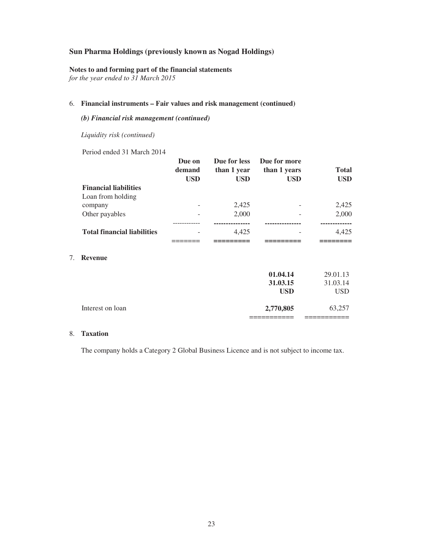**Notes to and forming part of the financial statements**  *for the year ended to 31 March 2015* 

#### 6. **Financial instruments – Fair values and risk management (continued)**

#### *(b) Financial risk management (continued)*

*Liquidity risk (continued)* 

Period ended 31 March 2014

|                                    | Due on     | Due for less | Due for more |              |
|------------------------------------|------------|--------------|--------------|--------------|
|                                    | demand     | than 1 year  | than 1 years | <b>Total</b> |
|                                    | <b>USD</b> | <b>USD</b>   | <b>USD</b>   | <b>USD</b>   |
| <b>Financial liabilities</b>       |            |              |              |              |
| Loan from holding                  |            |              |              |              |
| company                            |            | 2,425        |              | 2,425        |
| Other payables                     |            | 2,000        |              | 2,000        |
|                                    |            |              |              |              |
| <b>Total financial liabilities</b> |            | 4,425        |              | 4,425        |
|                                    |            |              |              |              |
| <b>Revenue</b>                     |            |              |              |              |
|                                    |            |              | 01.04.14     | 29.01.13     |
|                                    |            |              | 31.03.15     | 31.03.14     |
|                                    |            |              | <b>USD</b>   | <b>USD</b>   |
|                                    |            |              |              |              |

#### 8. **Taxation**

7. **Revenue**

The company holds a Category 2 Global Business Licence and is not subject to income tax.

Interest on loan **2,770,805** 63,257

=========== ===========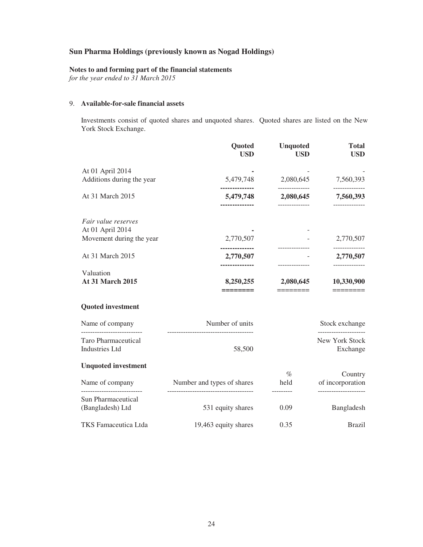### **Notes to and forming part of the financial statements**

*for the year ended to 31 March 2015* 

#### 9. **Available-for-sale financial assets**

Investments consist of quoted shares and unquoted shares. Quoted shares are listed on the New York Stock Exchange.

|                                                                     | Quoted<br><b>USD</b>                              | <b>Unquoted</b><br><b>USD</b>    | <b>Total</b><br><b>USD</b>       |
|---------------------------------------------------------------------|---------------------------------------------------|----------------------------------|----------------------------------|
| At 01 April 2014                                                    |                                                   |                                  |                                  |
| Additions during the year                                           | 5,479,748                                         | 2,080,645<br>--------------      | 7,560,393<br>------------        |
| At 31 March 2015                                                    | <br>5,479,748                                     | 2,080,645                        | 7,560,393                        |
| Fair value reserves                                                 |                                                   |                                  |                                  |
| At 01 April 2014<br>Movement during the year                        | 2,770,507                                         |                                  | 2,770,507                        |
| At 31 March 2015                                                    | --------------<br>2,770,507                       | --------------<br>-------------- | --------------<br>2,770,507      |
| Valuation<br>At 31 March 2015                                       | 8,250,255                                         | 2,080,645                        | 10,330,900<br>========           |
| <b>Quoted investment</b>                                            |                                                   |                                  |                                  |
| Name of company<br>--------------------------                       | Number of units                                   |                                  | Stock exchange<br>-------------- |
| <b>Taro Pharmaceutical</b><br><b>Industries Ltd</b>                 | 58,500                                            |                                  | New York Stock<br>Exchange       |
| <b>Unquoted investment</b>                                          |                                                   |                                  |                                  |
| Name of company                                                     | Number and types of shares                        | $\%$<br>held                     | Country<br>of incorporation      |
| -------------------------<br>Sun Pharmaceutical<br>(Bangladesh) Ltd | ----------------------------<br>531 equity shares | ---------<br>0.09                | Bangladesh                       |
| TKS Famaceutica Ltda                                                | 19,463 equity shares                              | 0.35                             | <b>Brazil</b>                    |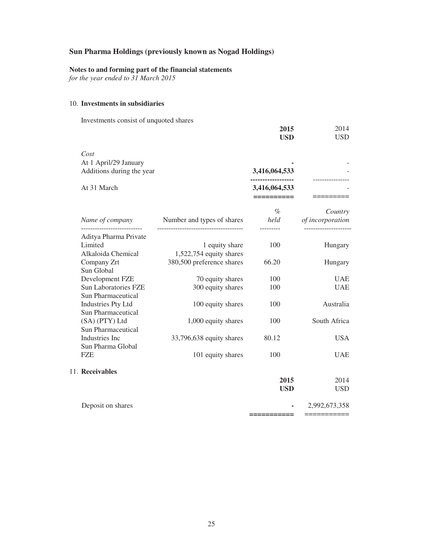#### **Notes to and forming part of the financial statements**

*for the year ended to 31 March 2015* 

#### 10. **Investments in subsidiaries**

| Investments consist of unquoted shares            |                            | 2015                               | 2014             |
|---------------------------------------------------|----------------------------|------------------------------------|------------------|
|                                                   |                            | <b>USD</b>                         | <b>USD</b>       |
| Cost                                              |                            |                                    |                  |
| At 1 April/29 January                             |                            |                                    |                  |
| Additions during the year                         |                            | 3,416,064,533<br>----------------- |                  |
| At 31 March                                       |                            | 3,416,064,533<br>==========        |                  |
|                                                   |                            | $\%$                               | Country          |
| Name of company<br>----------------------------   | Number and types of shares | held<br>----------                 | of incorporation |
| Aditya Pharma Private                             |                            |                                    |                  |
| Limited                                           | 1 equity share             | 100                                | Hungary          |
| Alkaloida Chemical                                | $1,522,754$ equity shares  |                                    |                  |
| Company Zrt                                       | 380,500 preference shares  | 66.20                              | Hungary          |
| Sun Global                                        |                            |                                    |                  |
| Development FZE                                   | 70 equity shares           | 100                                | <b>UAE</b>       |
| <b>Sun Laboratories FZE</b><br>Sun Pharmaceutical | 300 equity shares          | 100                                | <b>UAE</b>       |
| <b>Industries Pty Ltd</b>                         | 100 equity shares          | 100                                | Australia        |
| Sun Pharmaceutical                                |                            |                                    |                  |
| (SA) (PTY) Ltd                                    | 1,000 equity shares        | 100                                | South Africa     |
| Sun Pharmaceutical                                |                            |                                    |                  |
| Industries Inc<br>Sun Pharma Global               | 33,796,638 equity shares   | 80.12                              | <b>USA</b>       |
| <b>FZE</b>                                        |                            |                                    | <b>UAE</b>       |
|                                                   | 101 equity shares          | 100                                |                  |
| 11. Receivables                                   |                            |                                    |                  |
|                                                   |                            | 2015                               | 2014             |
|                                                   |                            | <b>USD</b>                         | <b>USD</b>       |
| Deposit on shares                                 |                            |                                    | 2,992,673,358    |
|                                                   |                            |                                    |                  |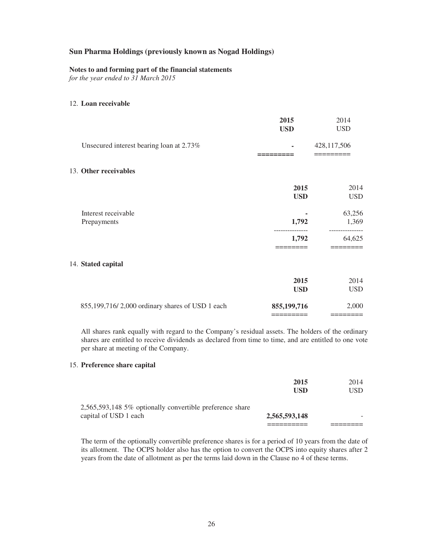### **Notes to and forming part of the financial statements**

*for the year ended to 31 March 2015* 

#### 12. **Loan receivable**

|                                                 | 2015<br><b>USD</b> | 2014<br><b>USD</b> |
|-------------------------------------------------|--------------------|--------------------|
| Unsecured interest bearing loan at 2.73%        |                    | 428,117,506        |
| 13. Other receivables                           |                    |                    |
|                                                 | 2015<br><b>USD</b> | 2014<br><b>USD</b> |
| Interest receivable<br>Prepayments              | 1,792              | 63,256<br>1,369    |
|                                                 | 1,792              | 64,625             |
| 14. Stated capital                              |                    |                    |
|                                                 | 2015<br><b>USD</b> | 2014<br><b>USD</b> |
| 855,199,716/2,000 ordinary shares of USD 1 each | 855,199,716        | 2,000              |

All shares rank equally with regard to the Company's residual assets. The holders of the ordinary shares are entitled to receive dividends as declared from time to time, and are entitled to one vote per share at meeting of the Company.

#### 15. **Preference share capital**

|                                                          | 2015<br><b>USD</b> | 2014<br><b>USD</b> |
|----------------------------------------------------------|--------------------|--------------------|
| 2,565,593,148 5% optionally convertible preference share |                    |                    |
| capital of USD 1 each                                    | 2,565,593,148      |                    |
|                                                          |                    |                    |

The term of the optionally convertible preference shares is for a period of 10 years from the date of its allotment. The OCPS holder also has the option to convert the OCPS into equity shares after 2 years from the date of allotment as per the terms laid down in the Clause no 4 of these terms.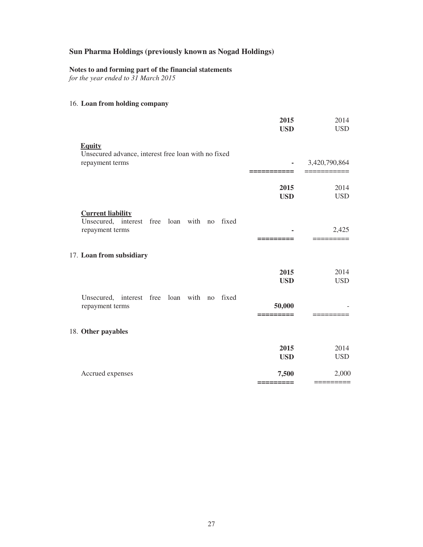#### **Notes to and forming part of the financial statements**

*for the year ended to 31 March 2015* 

### 16. **Loan from holding company**

|                                                                                            | 2015<br>2014<br><b>USD</b><br><b>USD</b> |
|--------------------------------------------------------------------------------------------|------------------------------------------|
| <b>Equity</b><br>Unsecured advance, interest free loan with no fixed<br>repayment terms    | 3,420,790,864<br>===========             |
|                                                                                            | 2015<br>2014<br><b>USD</b><br><b>USD</b> |
| <b>Current liability</b><br>Unsecured, interest free loan with no fixed<br>repayment terms | 2,425                                    |
| 17. Loan from subsidiary                                                                   |                                          |
|                                                                                            | 2015<br>2014<br><b>USD</b><br><b>USD</b> |
| Unsecured, interest free loan with no fixed<br>repayment terms<br>=========                | 50,000                                   |
| 18. Other payables                                                                         |                                          |
|                                                                                            | 2015<br>2014<br><b>USD</b><br><b>USD</b> |
| Accrued expenses<br>=========                                                              | 7,500<br>2,000<br>=========              |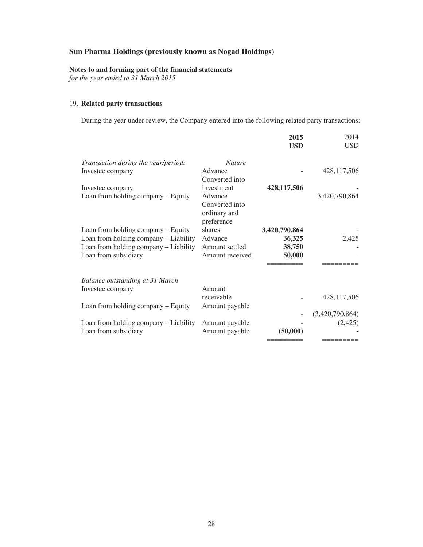### **Notes to and forming part of the financial statements**

*for the year ended to 31 March 2015* 

### 19. **Related party transactions**

During the year under review, the Company entered into the following related party transactions:

|                                        |                 | 2015          | 2014            |
|----------------------------------------|-----------------|---------------|-----------------|
|                                        |                 | <b>USD</b>    | <b>USD</b>      |
| Transaction during the year/period:    | <b>Nature</b>   |               |                 |
| Investee company                       | Advance         |               | 428,117,506     |
|                                        | Converted into  |               |                 |
| Investee company                       | investment      | 428,117,506   |                 |
| Loan from holding company – Equity     | Advance         |               | 3,420,790,864   |
|                                        | Converted into  |               |                 |
|                                        | ordinary and    |               |                 |
|                                        | preference      |               |                 |
| Loan from holding company - Equity     | shares          | 3,420,790,864 |                 |
| Loan from holding company - Liability  | Advance         | 36,325        | 2,425           |
| Loan from holding company - Liability  | Amount settled  | 38,750        |                 |
| Loan from subsidiary                   | Amount received | 50,000        |                 |
|                                        |                 |               |                 |
| <b>Balance outstanding at 31 March</b> |                 |               |                 |
| Investee company                       | Amount          |               |                 |
|                                        | receivable      |               | 428,117,506     |
| Loan from holding company – Equity     | Amount payable  |               |                 |
|                                        |                 |               | (3,420,790,864) |
| Loan from holding company – Liability  | Amount payable  |               | (2, 425)        |
| Loan from subsidiary                   | Amount payable  | (50,000)      |                 |
|                                        |                 |               |                 |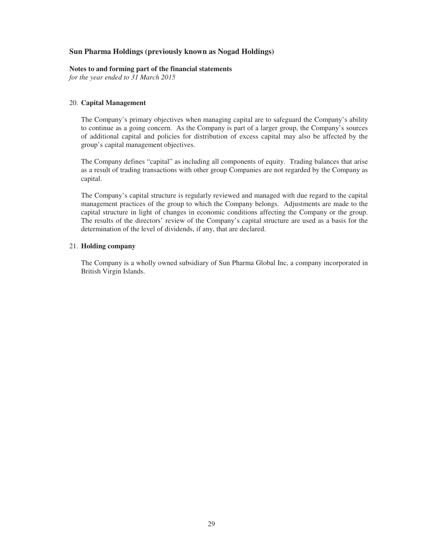#### **Notes to and forming part of the financial statements**

*for the year ended to 31 March 2015* 

#### 20. **Capital Management**

The Company's primary objectives when managing capital are to safeguard the Company's ability to continue as a going concern. As the Company is part of a larger group, the Company's sources of additional capital and policies for distribution of excess capital may also be affected by the group's capital management objectives.

The Company defines "capital" as including all components of equity. Trading balances that arise as a result of trading transactions with other group Companies are not regarded by the Company as capital.

The Company's capital structure is regularly reviewed and managed with due regard to the capital management practices of the group to which the Company belongs. Adjustments are made to the capital structure in light of changes in economic conditions affecting the Company or the group. The results of the directors' review of the Company's capital structure are used as a basis for the determination of the level of dividends, if any, that are declared.

#### 21. **Holding company**

The Company is a wholly owned subsidiary of Sun Pharma Global Inc, a company incorporated in British Virgin Islands.